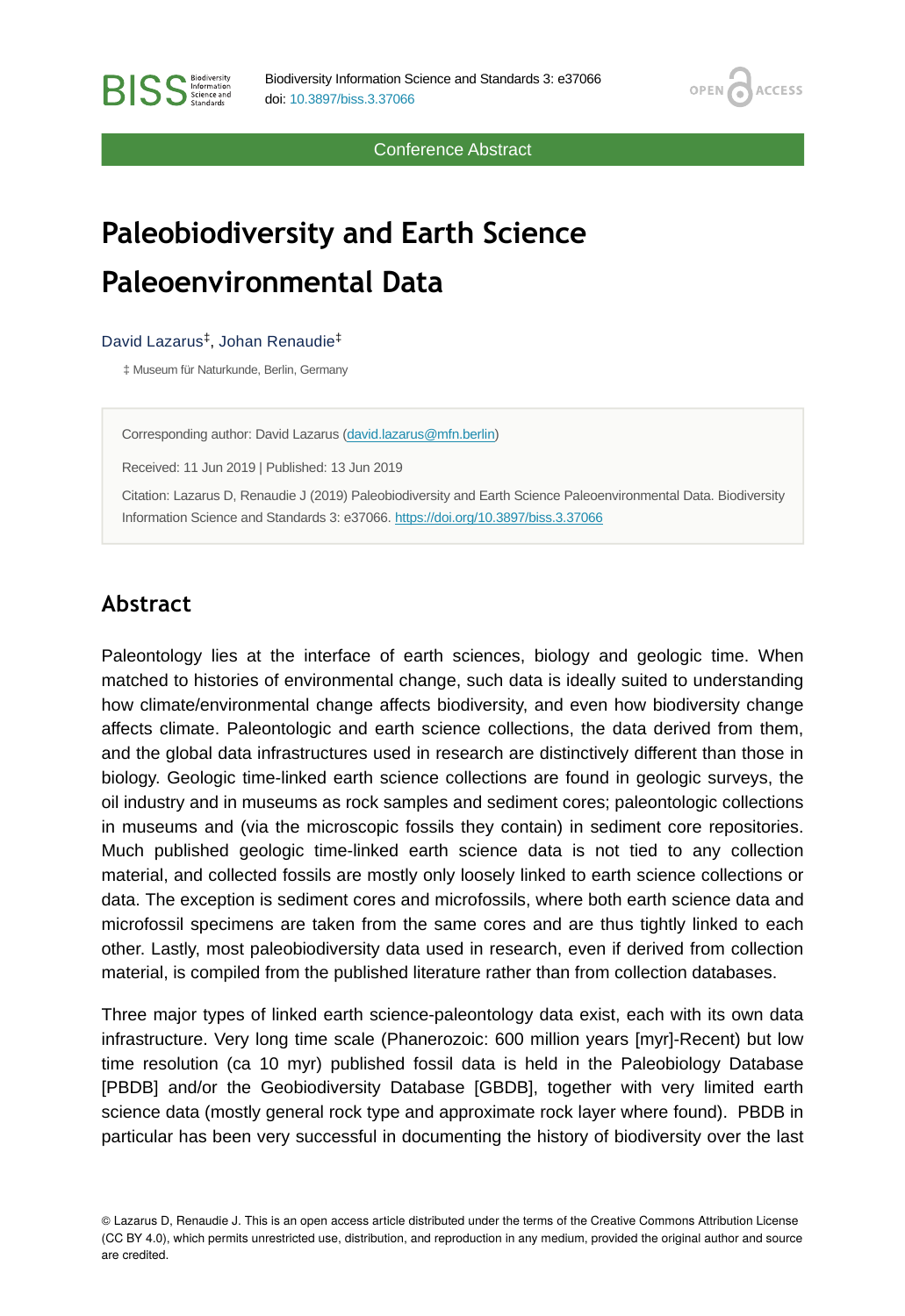Conference Abstract

**OPEN** 

**ACCESS** 

# **Paleobiodiversity and Earth Science Paleoenvironmental Data**

#### David Lazarus<sup>‡</sup>, Johan Renaudie<sup>‡</sup>

‡ Museum für Naturkunde, Berlin, Germany

Corresponding author: David Lazarus [\(david.lazarus@mfn.berlin\)](mailto:david.lazarus@mfn.berlin)

Received: 11 Jun 2019 | Published: 13 Jun 2019

Citation: Lazarus D, Renaudie J (2019) Paleobiodiversity and Earth Science Paleoenvironmental Data. Biodiversity Information Science and Standards 3: e37066.<https://doi.org/10.3897/biss.3.37066>

### **Abstract**

Paleontology lies at the interface of earth sciences, biology and geologic time. When matched to histories of environmental change, such data is ideally suited to understanding how climate/environmental change affects biodiversity, and even how biodiversity change affects climate. Paleontologic and earth science collections, the data derived from them, and the global data infrastructures used in research are distinctively different than those in biology. Geologic time-linked earth science collections are found in geologic surveys, the oil industry and in museums as rock samples and sediment cores; paleontologic collections in museums and (via the microscopic fossils they contain) in sediment core repositories. Much published geologic time-linked earth science data is not tied to any collection material, and collected fossils are mostly only loosely linked to earth science collections or data. The exception is sediment cores and microfossils, where both earth science data and microfossil specimens are taken from the same cores and are thus tightly linked to each other. Lastly, most paleobiodiversity data used in research, even if derived from collection material, is compiled from the published literature rather than from collection databases.

Three major types of linked earth science-paleontology data exist, each with its own data infrastructure. Very long time scale (Phanerozoic: 600 million years [myr]-Recent) but low time resolution (ca 10 myr) published fossil data is held in the Paleobiology Database [PBDB] and/or the Geobiodiversity Database [GBDB], together with very limited earth science data (mostly general rock type and approximate rock layer where found). PBDB in particular has been very successful in documenting the history of biodiversity over the last

© Lazarus D, Renaudie J. This is an open access article distributed under the terms of the Creative Commons Attribution License (CC BY 4.0), which permits unrestricted use, distribution, and reproduction in any medium, provided the original author and source are credited.